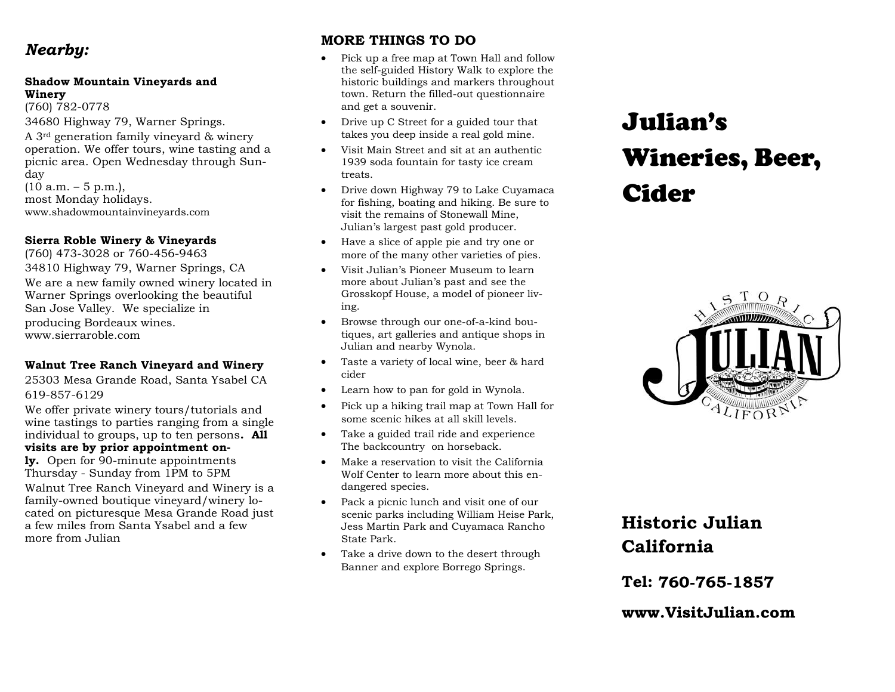## *Nearby:*

#### **Shadow Mountain Vineyards and Winery**

(760) 782-0778 34680 Highway 79, Warner Springs.

A 3rd generation family vineyard & winery operation. We offer tours, wine tasting and a picnic area. Open Wednesday through Sunday  $(10 a.m. - 5 p.m.).$ most Monday holidays. www.shadowmountainvineyards.com

#### **Sierra Roble Winery & Vineyards**

(760) 473-3028 or 760-456-9463

34810 Highway 79, Warner Springs, CA We are a new family owned winery located in Warner Springs overlooking the beautiful San Jose Valley. We specialize in producing Bordeaux wines. www.sierraroble.com

#### **Walnut Tree Ranch Vineyard and Winery**

25303 Mesa Grande Road, Santa Ysabel CA 619-857-6129

We offer private winery tours/tutorials and wine tastings to parties ranging from a single individual to groups, up to ten persons**. All visits are by prior appointment on-**

**ly.** Open for 90-minute appointments Thursday - Sunday from 1PM to 5PM Walnut Tree Ranch Vineyard and Winery is a family-owned boutique vineyard/winery located on picturesque Mesa Grande Road just a few miles from Santa Ysabel and a few more from Julian

### **MORE THINGS TO DO**

- Pick up a free map at Town Hall and follow the self-guided History Walk to explore the historic buildings and markers throughout town. Return the filled-out questionnaire and get a souvenir.
- Drive up C Street for a guided tour that takes you deep inside a real gold mine.
- Visit Main Street and sit at an authentic 1939 soda fountain for tasty ice cream treats.
- Drive down Highway 79 to Lake Cuyamaca for fishing, boating and hiking. Be sure to visit the remains of Stonewall Mine, Julian's largest past gold producer.
- Have a slice of apple pie and try one or more of the many other varieties of pies.
- Visit Julian's Pioneer Museum to learn more about Julian's past and see the Grosskopf House, a model of pioneer living.
- Browse through our one-of-a-kind boutiques, art galleries and antique shops in Julian and nearby Wynola.
- Taste a variety of local wine, beer & hard cider
- Learn how to pan for gold in Wynola.
- Pick up a hiking trail map at Town Hall for some scenic hikes at all skill levels.
- Take a guided trail ride and experience The backcountry on horseback.
- Make a reservation to visit the California Wolf Center to learn more about this endangered species.
- Pack a picnic lunch and visit one of our scenic parks including William Heise Park, Jess Martin Park and Cuyamaca Rancho State Park.
- Take a drive down to the desert through Banner and explore Borrego Springs.

# Julian's Wineries, Beer, Cider



# **Historic Julian California**

**Tel:** 

www.VisitJulian.com